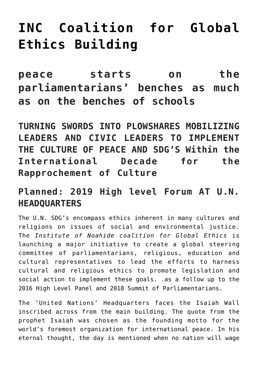## **[INC Coalition for Global](http://noahide.org/inc-coalition-for-global-ethics-building-peace-starts-on-the-parliamentarians-benches-as-much-as-on-the-benches-of-schools/) [Ethics Building](http://noahide.org/inc-coalition-for-global-ethics-building-peace-starts-on-the-parliamentarians-benches-as-much-as-on-the-benches-of-schools/)**

**peace starts on the parliamentarians' benches as much as on the benches of schools**

**TURNING SWORDS INTO PLOWSHARES MOBILIZING LEADERS AND CIVIC LEADERS TO IMPLEMENT THE CULTURE OF PEACE AND SDG'S Within the International Decade for the Rapprochement of Culture**

## **Planned: 2019 High level Forum AT U.N. HEADQUARTERS**

The U.N. SDG's encompass ethics inherent in many cultures and religions on issues of social and environmental justice. The *Institute of Noahide coalition for Global Ethics* is launching a major initiative to create a global steering committee of parliamentarians, religious, education and cultural representatives to lead the efforts to harness cultural and religious ethics to promote legislation and social action to implement these goals. .as a follow up to the 2016 High Level Panel and 2018 Summit of Parliamentarians.

The 'United Nations' Headquarters faces the Isaiah Wall inscribed across from the main building. The quote from the prophet Isaiah was chosen as the founding motto for the world's foremost organization for international peace. In his eternal thought, the day is mentioned when no nation will wage